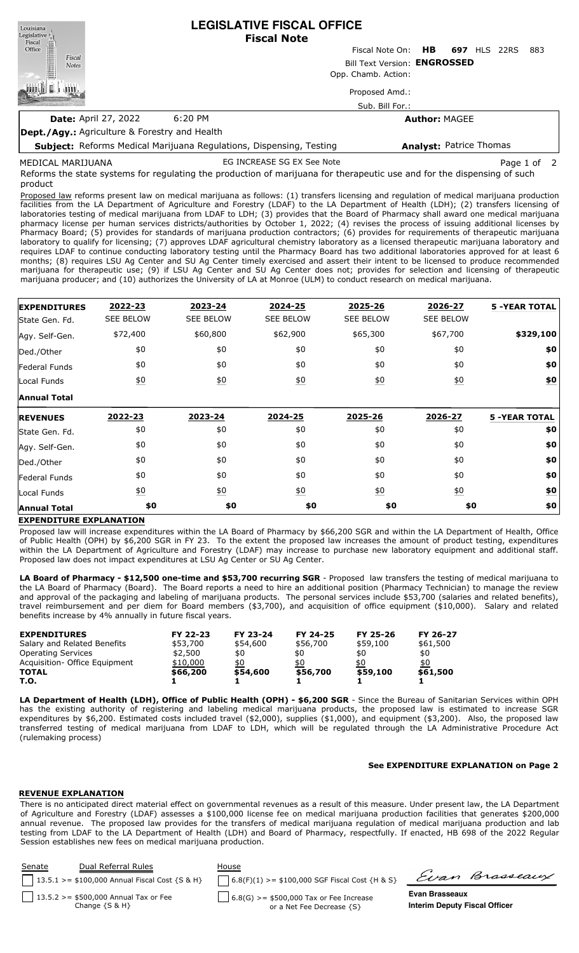| Louisiana<br>Legislative<br>Fiscal                   | <b>LEGISLATIVE FISCAL OFFICE</b><br><b>Fiscal Note</b>                                                                                                 |                 |                      |                                |             |     |  |
|------------------------------------------------------|--------------------------------------------------------------------------------------------------------------------------------------------------------|-----------------|----------------------|--------------------------------|-------------|-----|--|
| Fiscal<br>Office                                     |                                                                                                                                                        | Fiscal Note On: | HB.                  | <b>697 HLS 22RS</b>            |             | 883 |  |
| Fiscal<br><b>Notes</b>                               | Bill Text Version: ENGROSSED                                                                                                                           |                 |                      |                                |             |     |  |
|                                                      | Opp. Chamb. Action:                                                                                                                                    |                 |                      |                                |             |     |  |
|                                                      |                                                                                                                                                        | Proposed Amd.:  |                      |                                |             |     |  |
|                                                      |                                                                                                                                                        | Sub. Bill For.: |                      |                                |             |     |  |
| <b>Date: April 27, 2022</b>                          | $6:20$ PM                                                                                                                                              |                 | <b>Author: MAGEE</b> |                                |             |     |  |
| <b>Dept./Agy.:</b> Agriculture & Forestry and Health |                                                                                                                                                        |                 |                      |                                |             |     |  |
|                                                      | <b>Subject:</b> Reforms Medical Marijuana Regulations, Dispensing, Testing                                                                             |                 |                      | <b>Analyst: Patrice Thomas</b> |             |     |  |
| MEDICAL MARIJUANA                                    | EG INCREASE SG EX See Note<br>Reforms the state systems for requisiting the production of marituana for therapeutic use and for the dispensing of such |                 |                      |                                | Page 1 of 2 |     |  |

ction of marijuana for thera product

Proposed law reforms present law on medical marijuana as follows: (1) transfers licensing and regulation of medical marijuana production facilities from the LA Department of Agriculture and Forestry (LDAF) to the LA Department of Health (LDH); (2) transfers licensing of laboratories testing of medical marijuana from LDAF to LDH; (3) provides that the Board of Pharmacy shall award one medical marijuana pharmacy license per human services districts/authorities by October 1, 2022; (4) revises the process of issuing additional licenses by Pharmacy Board; (5) provides for standards of marijuana production contractors; (6) provides for requirements of therapeutic marijuana laboratory to qualify for licensing; (7) approves LDAF agricultural chemistry laboratory as a licensed therapeutic marijuana laboratory and requires LDAF to continue conducting laboratory testing until the Pharmacy Board has two additional laboratories approved for at least 6 months; (8) requires LSU Ag Center and SU Ag Center timely exercised and assert their intent to be licensed to produce recommended marijuana for therapeutic use; (9) if LSU Ag Center and SU Ag Center does not; provides for selection and licensing of therapeutic marijuana producer; and (10) authorizes the University of LA at Monroe (ULM) to conduct research on medical marijuana.

| <b>EXPENDITURES</b>  | 2022-23          | 2023-24          | 2024-25          | 2025-26          | 2026-27          | <b>5 -YEAR TOTAL</b> |
|----------------------|------------------|------------------|------------------|------------------|------------------|----------------------|
| State Gen. Fd.       | <b>SEE BELOW</b> | <b>SEE BELOW</b> | <b>SEE BELOW</b> | <b>SEE BELOW</b> | <b>SEE BELOW</b> |                      |
| Agy. Self-Gen.       | \$72,400         | \$60,800         | \$62,900         | \$65,300         | \$67,700         | \$329,100            |
| Ded./Other           | \$0              | \$0              | \$0              | \$0              | \$0              | \$0                  |
| <b>Federal Funds</b> | \$0              | \$0              | \$0              | \$0              | \$0              | \$0                  |
| Local Funds          | \$0              | $\underline{50}$ | 60               | 60               | $\underline{40}$ | $\underline{\$0}$    |
| <b>Annual Total</b>  |                  |                  |                  |                  |                  |                      |
|                      |                  |                  |                  |                  |                  |                      |
| <b>REVENUES</b>      | 2022-23          | 2023-24          | 2024-25          | 2025-26          | 2026-27          | <b>5 -YEAR TOTAL</b> |
| State Gen. Fd.       | \$0              | \$0              | \$0              | \$0              | \$0              | \$0                  |
| Agy. Self-Gen.       | \$0              | \$0              | \$0              | \$0              | \$0              | \$0                  |
| Ded./Other           | \$0              | \$0              | \$0              | \$0              | \$0              | \$0                  |
| Federal Funds        | \$0              | \$0              | \$0              | \$0              | \$0              | \$0                  |
| Local Funds          | $\underline{50}$ | $\underline{50}$ | $\underline{50}$ | $\underline{50}$ | $\underline{50}$ | <u>\$0</u>           |

## **EXPENDITURE EXPLANATION**

Proposed law will increase expenditures within the LA Board of Pharmacy by \$66,200 SGR and within the LA Department of Health, Office of Public Health (OPH) by \$6,200 SGR in FY 23. To the extent the proposed law increases the amount of product testing, expenditures within the LA Department of Agriculture and Forestry (LDAF) may increase to purchase new laboratory equipment and additional staff. Proposed law does not impact expenditures at LSU Ag Center or SU Ag Center.

**LA Board of Pharmacy - \$12,500 one-time and \$53,700 recurring SGR** - Proposed law transfers the testing of medical marijuana to the LA Board of Pharmacy (Board). The Board reports a need to hire an additional position (Pharmacy Technician) to manage the review and approval of the packaging and labeling of marijuana products. The personal services include \$53,700 (salaries and related benefits), travel reimbursement and per diem for Board members (\$3,700), and acquisition of office equipment (\$10,000). Salary and related benefits increase by 4% annually in future fiscal years.

| <b>EXPENDITURES</b>            | FY 22-23 | FY 23-24 | FY 24-25 | FY 25-26 | FY 26-27 |
|--------------------------------|----------|----------|----------|----------|----------|
| Salary and Related Benefits    | \$53,700 | \$54,600 | \$56,700 | \$59,100 | \$61,500 |
| <b>Operating Services</b>      | \$2,500  | \$0      | \$0      | \$0      | \$0      |
| Acquisition - Office Equipment | \$10,000 | \$0      | \$0      | \$0      | \$0      |
| <b>TOTAL</b>                   | \$66,200 | \$54,600 | \$56,700 | \$59,100 | \$61,500 |
| T.O.                           |          |          |          |          |          |

**LA Department of Health (LDH), Office of Public Health (OPH) - \$6,200 SGR** - Since the Bureau of Sanitarian Services within OPH has the existing authority of registering and labeling medical marijuana products, the proposed law is estimated to increase SGR expenditures by \$6,200. Estimated costs included travel (\$2,000), supplies (\$1,000), and equipment (\$3,200). Also, the proposed law transferred testing of medical marijuana from LDAF to LDH, which will be regulated through the LA Administrative Procedure Act (rulemaking process)

#### **See EXPENDITURE EXPLANATION on Page 2**

## **REVENUE EXPLANATION**

There is no anticipated direct material effect on governmental revenues as a result of this measure. Under present law, the LA Department of Agriculture and Forestry (LDAF) assesses a \$100,000 license fee on medical marijuana production facilities that generates \$200,000 annual revenue. The proposed law provides for the transfers of medical marijuana regulation of medical marijuana production and lab testing from LDAF to the LA Department of Health (LDH) and Board of Pharmacy, respectfully. If enacted, HB 698 of the 2022 Regular Session establishes new fees on medical marijuana production.

| Senate | Dual Referral Rules<br>    13.5.1 > = $$100,000$ Annual Fiscal Cost {S & H} | House<br>$6.8(F)(1)$ >= \$100,000 SGF Fiscal Cost {H & S}            |                                                        | Evan Brasseaux |
|--------|-----------------------------------------------------------------------------|----------------------------------------------------------------------|--------------------------------------------------------|----------------|
|        | 13.5.2 > = \$500,000 Annual Tax or Fee<br>Change $\{S \& H\}$               | 6.8(G) >= \$500,000 Tax or Fee Increase<br>or a Net Fee Decrease {S} | Evan Brasseaux<br><b>Interim Deputy Fiscal Officer</b> |                |